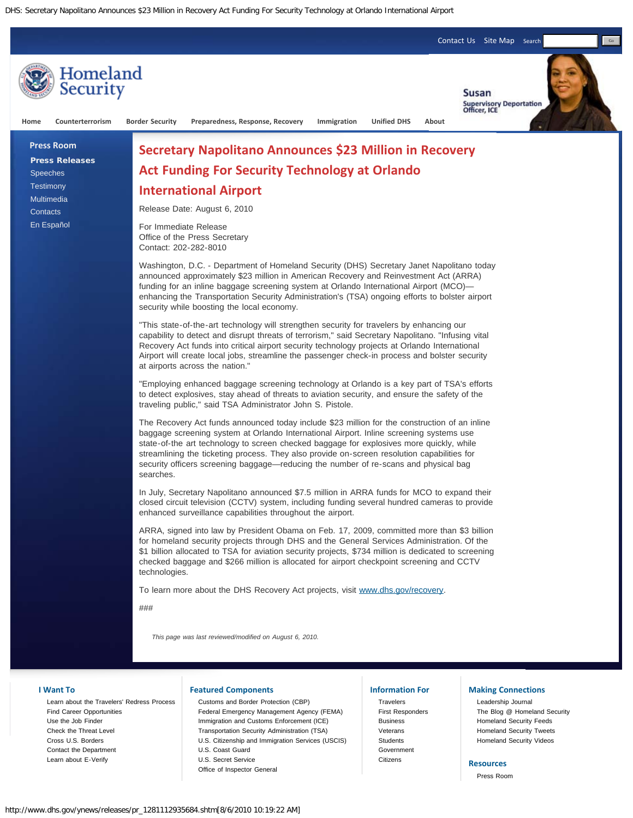DHS: Secretary Napolitano Announces \$23 Million in Recovery Act Funding For Security Technology at Orlando International Airport



[Learn about the Travelers' Redress Process](http://www.dhs.gov/files/programs/gc_1169673653081.shtm) [Find Career Opportunities](http://www.dhs.gov/xabout/careers/content_multi_image_0014.shtm) [Use the Job Finder](http://www.dhs.gov/xabout/careers/jobfinder.shtm) [Check the Threat Level](http://www.dhs.gov/files/programs/Copy_of_press_release_0046.shtm) [Cross U.S. Borders](http://www.dhs.gov/files/crossingborders/) [Contact the Department](http://www.dhs.gov/xutil/contactus.shtm) [Learn about E-Verify](http://www.uscis.gov/portal/site/uscis/menuitem.eb1d4c2a3e5b9ac89243c6a7543f6d1a/?vgnextoid=75bce2e261405110VgnVCM1000004718190aRCRD&vgnextchannel=75bce2e261405110VgnVCM1000004718190aRCRD)

[Customs and Border Protection \(CBP\)](http://cbp.gov/) [Federal Emergency Management Agency \(FEMA\)](http://www.fema.gov/) [Immigration and Customs Enforcement \(ICE\)](http://www.ice.gov/) [Transportation Security Administration \(TSA\)](http://www.tsa.gov/) [U.S. Citizenship and Immigration Services \(USCIS\)](http://www.uscis.gov/) [U.S. Coast Guard](http://uscg.mil/) [U.S. Secret Service](http://www.secretservice.gov/) [Office of Inspector General](http://www.dhs.gov/xoig/index.shtm)

**[Travelers](http://www.dhs.gov/files/travelers.shtm)** [First Responders](http://www.dhs.gov/xfrstresp/) [Business](http://www.dhs.gov/xbsnss/) [Veterans](http://www.dhs.gov/xcitizens/veterans.shtm) **[Students](http://www.dhs.gov/xstudents/)** [Government](http://www.dhs.gov/xgovt/) **[Citizens](http://www.dhs.gov/xcitizens/)** 

[Leadership Journal](http://journal.dhs.gov/) [The Blog @ Homeland Security](http://blog.dhs.gov/) [Homeland Security Feeds](http://www.dhs.gov/xutil/feeds.shtm) [Homeland Security Tweets](http://www.twitter.com/dhsjournal/) [Homeland Security Videos](http://youtube.com/ushomelandsecurity)

## **Resources**

[Press Room](http://www.dhs.gov/ynews/)